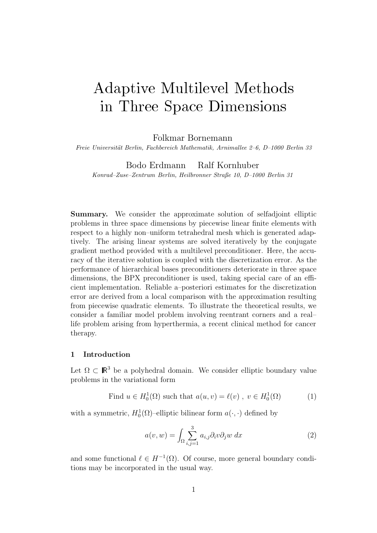# Adaptive Multilevel Methods in Three Space Dimensions

Folkmar Bornemann

*Freie Universit¨at Berlin, Fachbereich Mathematik, Arnimallee 2–6, D–1000 Berlin 33*

Bodo Erdmann Ralf Kornhuber

*Konrad–Zuse–Zentrum Berlin, Heilbronner Straße 10, D–1000 Berlin 31*

**Summary.** We consider the approximate solution of selfadjoint elliptic problems in three space dimensions by piecewise linear finite elements with respect to a highly non–uniform tetrahedral mesh which is generated adaptively. The arising linear systems are solved iteratively by the conjugate gradient method provided with a multilevel preconditioner. Here, the accuracy of the iterative solution is coupled with the discretization error. As the performance of hierarchical bases preconditioners deteriorate in three space dimensions, the BPX preconditioner is used, taking special care of an efficient implementation. Reliable a–posteriori estimates for the discretization error are derived from a local comparison with the approximation resulting from piecewise quadratic elements. To illustrate the theoretical results, we consider a familiar model problem involving reentrant corners and a real– life problem arising from hyperthermia, a recent clinical method for cancer therapy.

### **1 Introduction**

Let  $\Omega \subset \mathbb{R}^3$  be a polyhedral domain. We consider elliptic boundary value problems in the variational form

Find 
$$
u \in H_0^1(\Omega)
$$
 such that  $a(u, v) = \ell(v)$ ,  $v \in H_0^1(\Omega)$  (1)

with a symmetric,  $H_0^1(\Omega)$ -elliptic bilinear form  $a(\cdot, \cdot)$  defined by

$$
a(v, w) = \int_{\Omega} \sum_{i,j=1}^{3} a_{i,j} \partial_i v \partial_j w \, dx \tag{2}
$$

and some functional  $\ell \in H^{-1}(\Omega)$ . Of course, more general boundary conditions may be incorporated in the usual way.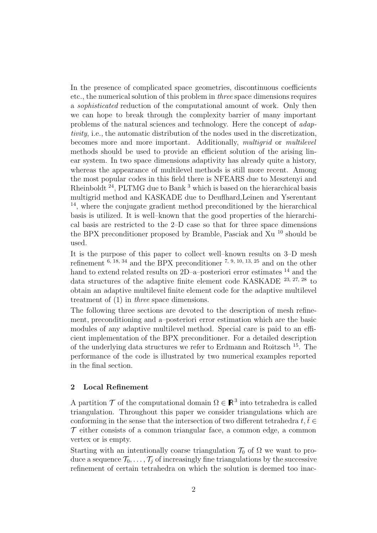In the presence of complicated space geometries, discontinuous coefficients etc., the numerical solution of this problem in *three* space dimensions requires a *sophisticated* reduction of the computational amount of work. Only then we can hope to break through the complexity barrier of many important problems of the natural sciences and technology. Here the concept of *adaptivity*, i.e., the automatic distribution of the nodes used in the discretization, becomes more and more important. Additionally, *multigrid* or *multilevel* methods should be used to provide an efficient solution of the arising linear system. In two space dimensions adaptivity has already quite a history, whereas the appearance of multilevel methods is still more recent. Among the most popular codes in this field there is NFEARS due to Mesztenyi and Rheinboldt <sup>24</sup>, PLTMG due to Bank <sup>3</sup> which is based on the hierarchical basis multigrid method and KASKADE due to Deuflhard,Leinen and Yserentant <sup>14</sup>, where the conjugate gradient method preconditioned by the hierarchical basis is utilized. It is well–known that the good properties of the hierarchical basis are restricted to the 2–D case so that for three space dimensions the BPX preconditioner proposed by Bramble, Pasciak and Xu <sup>10</sup> should be used.

It is the purpose of this paper to collect well–known results on 3–D mesh refinement  $^{6, 18, 34}$  and the BPX preconditioner  $^{7, 9, 10, 13, 25}$  and on the other hand to extend related results on 2D–a–posteriori error estimates <sup>14</sup> and the data structures of the adaptive finite element code KASKADE 23, 27, 28 to obtain an adaptive multilevel finite element code for the adaptive multilevel treatment of (1) in *three* space dimensions.

The following three sections are devoted to the description of mesh refinement, preconditioning and a–posteriori error estimation which are the basic modules of any adaptive multilevel method. Special care is paid to an efficient implementation of the BPX preconditioner. For a detailed description of the underlying data structures we refer to Erdmann and Roitzsch <sup>15</sup>. The performance of the code is illustrated by two numerical examples reported in the final section.

#### **2 Local Refinement**

A partition  $\mathcal T$  of the computational domain  $\Omega \in \mathbb{R}^3$  into tetrahedra is called triangulation. Throughout this paper we consider triangulations which are conforming in the sense that the intersection of two different tetrahedra  $t, \overline{t} \in$  $\mathcal T$  either consists of a common triangular face, a common edge, a common vertex or is empty.

Starting with an intentionally coarse triangulation  $\mathcal{T}_0$  of  $\Omega$  we want to produce a sequence  $\mathcal{T}_0,\ldots,\mathcal{T}_i$  of increasingly fine triangulations by the successive refinement of certain tetrahedra on which the solution is deemed too inac-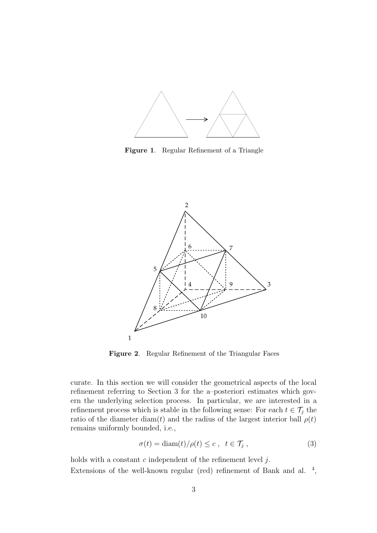

**Figure 1**. Regular Refinement of a Triangle



**Figure 2**. Regular Refinement of the Triangular Faces

curate. In this section we will consider the geometrical aspects of the local refinement referring to Section 3 for the a–posteriori estimates which govern the underlying selection process. In particular, we are interested in a refinement process which is stable in the following sense: For each  $t \in \mathcal{T}_j$  the ratio of the diameter diam(t) and the radius of the largest interior ball  $\rho(t)$ remains uniformly bounded, i.e.,

$$
\sigma(t) = \text{diam}(t) / \rho(t) \le c \,, \quad t \in \mathcal{T}_j \,, \tag{3}
$$

holds with a constant  $c$  independent of the refinement level  $j$ . Extensions of the well-known regular (red) refinement of Bank and al. <sup>4</sup>,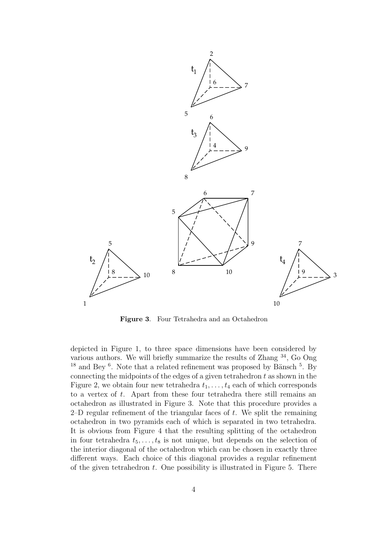

**Figure 3**. Four Tetrahedra and an Octahedron

depicted in Figure 1, to three space dimensions have been considered by various authors. We will briefly summarize the results of Zhang <sup>34</sup>, Go Ong  $18$  and Bey <sup>6</sup>. Note that a related refinement was proposed by Bänsch <sup>5</sup>. By connecting the midpoints of the edges of a given tetrahedron  $t$  as shown in the Figure 2, we obtain four new tetrahedra  $t_1, \ldots, t_4$  each of which corresponds to a vertex of t. Apart from these four tetrahedra there still remains an octahedron as illustrated in Figure 3. Note that this procedure provides a 2–D regular refinement of the triangular faces of  $t$ . We split the remaining octahedron in two pyramids each of which is separated in two tetrahedra. It is obvious from Figure 4 that the resulting splitting of the octahedron in four tetrahedra  $t_5,\ldots,t_8$  is not unique, but depends on the selection of the interior diagonal of the octahedron which can be chosen in exactly three different ways. Each choice of this diagonal provides a regular refinement of the given tetrahedron  $t$ . One possibility is illustrated in Figure 5. There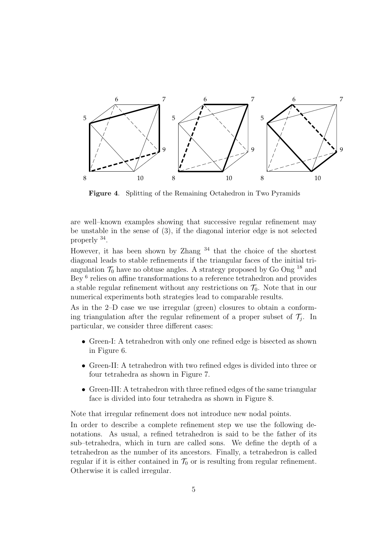

**Figure 4**. Splitting of the Remaining Octahedron in Two Pyramids

are well–known examples showing that successive regular refinement may be unstable in the sense of (3), if the diagonal interior edge is not selected properly <sup>34</sup>.

However, it has been shown by Zhang  $34$  that the choice of the shortest diagonal leads to stable refinements if the triangular faces of the initial triangulation  $\mathcal{T}_0$  have no obtuse angles. A strategy proposed by Go Ong <sup>18</sup> and Bey  $6$  relies on affine transformations to a reference tetrahedron and provides a stable regular refinement without any restrictions on  $\mathcal{T}_0$ . Note that in our numerical experiments both strategies lead to comparable results.

As in the 2–D case we use irregular (green) closures to obtain a conforming triangulation after the regular refinement of a proper subset of  $\mathcal{T}_i$ . In particular, we consider three different cases:

- Green-I: A tetrahedron with only one refined edge is bisected as shown in Figure 6.
- Green-II: A tetrahedron with two refined edges is divided into three or four tetrahedra as shown in Figure 7.
- Green-III: A tetrahedron with three refined edges of the same triangular face is divided into four tetrahedra as shown in Figure 8.

Note that irregular refinement does not introduce new nodal points.

In order to describe a complete refinement step we use the following denotations. As usual, a refined tetrahedron is said to be the father of its sub–tetrahedra, which in turn are called sons. We define the depth of a tetrahedron as the number of its ancestors. Finally, a tetrahedron is called regular if it is either contained in  $\mathcal{T}_0$  or is resulting from regular refinement. Otherwise it is called irregular.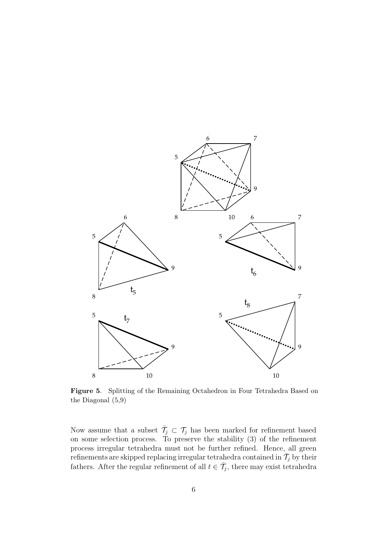

**Figure 5**. Splitting of the Remaining Octahedron in Four Tetrahedra Based on the Diagonal (5,9)

Now assume that a subset  $\bar{\mathcal{T}}_j \subset \mathcal{T}_j$  has been marked for refinement based on some selection process. To preserve the stability (3) of the refinement process irregular tetrahedra must not be further refined. Hence, all green refinements are skipped replacing irregular tetrahedra contained in  $\bar{\mathcal{T}}_j$  by their fathers. After the regular refinement of all  $t \in \overline{\mathcal{T}}_j$ , there may exist tetrahedra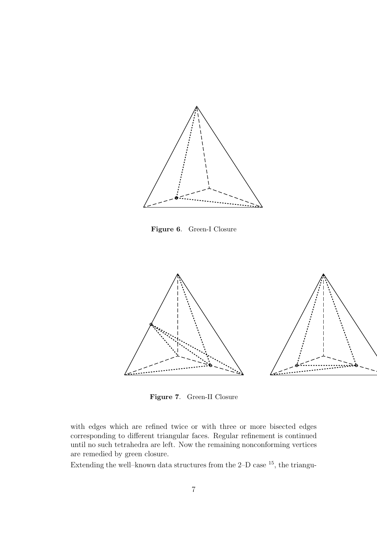

**Figure 6**. Green-I Closure



**Figure 7**. Green-II Closure

with edges which are refined twice or with three or more bisected edges corresponding to different triangular faces. Regular refinement is continued until no such tetrahedra are left. Now the remaining nonconforming vertices are remedied by green closure.

Extending the well–known data structures from the 2–D case  $^{15}$ , the triangu-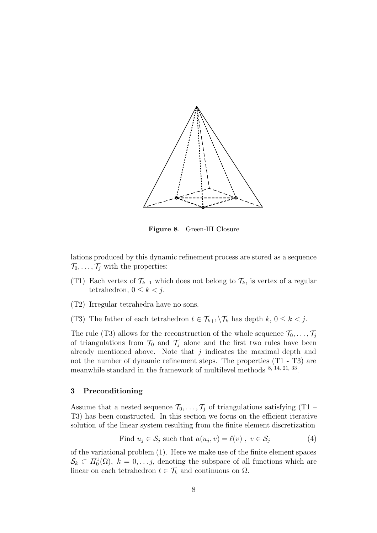

**Figure 8**. Green-III Closure

lations produced by this dynamic refinement process are stored as a sequence  $\mathcal{T}_0,\ldots,\mathcal{T}_j$  with the properties:

- (T1) Each vertex of  $\mathcal{T}_{k+1}$  which does not belong to  $\mathcal{T}_k$ , is vertex of a regular tetrahedron,  $0 \leq k < j$ .
- (T2) Irregular tetrahedra have no sons.
- (T3) The father of each tetrahedron  $t \in \mathcal{T}_{k+1} \backslash \mathcal{T}_k$  has depth  $k, 0 \leq k < j$ .

The rule (T3) allows for the reconstruction of the whole sequence  $\mathcal{T}_0, \ldots, \mathcal{T}_j$ of triangulations from  $\mathcal{T}_0$  and  $\mathcal{T}_i$  alone and the first two rules have been already mentioned above. Note that  $j$  indicates the maximal depth and not the number of dynamic refinement steps. The properties (T1 - T3) are meanwhile standard in the framework of multilevel methods 8, 14, 21, 33.

## **3 Preconditioning**

Assume that a nested sequence  $\mathcal{T}_0, \ldots, \mathcal{T}_j$  of triangulations satisfying (T1 – T3) has been constructed. In this section we focus on the efficient iterative solution of the linear system resulting from the finite element discretization

Find 
$$
u_j \in \mathcal{S}_j
$$
 such that  $a(u_j, v) = \ell(v)$ ,  $v \in \mathcal{S}_j$  (4)

of the variational problem (1). Here we make use of the finite element spaces  $\mathcal{S}_k \subset H_0^1(\Omega), k = 0, \ldots, j$ , denoting the subspace of all functions which are linear on each tetrahedron  $t \in \mathcal{T}_k$  and continuous on  $\Omega$ .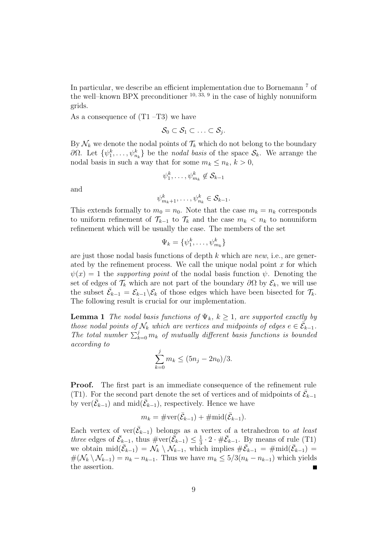In particular, we describe an efficient implementation due to Bornemann <sup>7</sup> of the well–known BPX preconditioner  $^{10, 33, 9}$  in the case of highly nonuniform grids.

As a consequence of  $(T1 - T3)$  we have

$$
\mathcal{S}_0 \subset \mathcal{S}_1 \subset \ldots \subset \mathcal{S}_j.
$$

By  $\mathcal{N}_k$  we denote the nodal points of  $\mathcal{T}_k$  which do not belong to the boundary  $\partial\Omega$ . Let  $\{\psi_1^k, \ldots, \psi_{n_k}^k\}$  be the *nodal basis* of the space  $\mathcal{S}_k$ . We arrange the nodal basis in such a way that for some  $m_k \leq n_k$ ,  $k > 0$ ,

$$
\psi_1^k, \ldots, \psi_{m_k}^k \not\in \mathcal{S}_{k-1}
$$

and

$$
\psi^k_{m_k+1},\ldots,\psi^k_{n_k}\in\mathcal{S}_{k-1}.
$$

This extends formally to  $m_0 = n_0$ . Note that the case  $m_k = n_k$  corresponds to uniform refinement of  $\mathcal{T}_{k-1}$  to  $\mathcal{T}_k$  and the case  $m_k < n_k$  to nonuniform refinement which will be usually the case. The members of the set

$$
\Psi_k = \{\psi_1^k, \dots, \psi_{m_k}^k\}
$$

are just those nodal basis functions of depth k which are *new*, i.e., are generated by the refinement process. We call the unique nodal point  $x$  for which  $\psi(x) = 1$  the *supporting point* of the nodal basis function  $\psi$ . Denoting the set of edges of  $\mathcal{T}_k$  which are not part of the boundary  $\partial\Omega$  by  $\mathcal{E}_k$ , we will use the subset  $\bar{\mathcal{E}}_{k-1} = \mathcal{E}_{k-1} \backslash \mathcal{E}_k$  of those edges which have been bisected for  $\mathcal{T}_k$ . The following result is crucial for our implementation.

**Lemma 1** *The nodal basis functions of*  $\Psi_k$ ,  $k \geq 1$ *, are supported exactly by those nodal points of*  $\mathcal{N}_k$  *which are vertices and midpoints of edges*  $e \in \bar{\mathcal{E}}_{k-1}$ *.* The total number  $\sum_{k=0}^{j} m_k$  of mutually different basis functions is bounded *according to*

$$
\sum_{k=0}^{j} m_k \le (5n_j - 2n_0)/3.
$$

**Proof.** The first part is an immediate consequence of the refinement rule (T1). For the second part denote the set of vertices and of midpoints of  $\bar{\mathcal{E}}_{k-1}$ by  $\text{ver}(\bar{\mathcal{E}}_{k-1})$  and  $\text{mid}(\bar{\mathcal{E}}_{k-1})$ , respectively. Hence we have

$$
m_k = \# \text{ver}(\bar{\mathcal{E}}_{k-1}) + \# \text{mid}(\bar{\mathcal{E}}_{k-1}).
$$

Each vertex of  $ver(\bar{\mathcal{E}}_{k-1})$  belongs as a vertex of a tetrahedron to *at least three* edges of  $\bar{\mathcal{E}}_{k-1}$ , thus  $\#\text{ver}(\bar{\mathcal{E}}_{k-1}) \leq \frac{1}{3} \cdot 2 \cdot \#\bar{\mathcal{E}}_{k-1}$ . By means of rule (T1) we obtain  $\text{mid}(\bar{\mathcal{E}}_{k-1}) = \mathcal{N}_k \setminus \mathcal{N}_{k-1}$ , which implies  $\#\bar{\mathcal{E}}_{k-1} = \text{#mid}(\bar{\mathcal{E}}_{k-1}) =$  $\#(\mathcal{N}_k \setminus \mathcal{N}_{k-1}) = n_k - n_{k-1}$ . Thus we have  $m_k \leq 5/3(n_k - n_{k-1})$  which yields the assertion.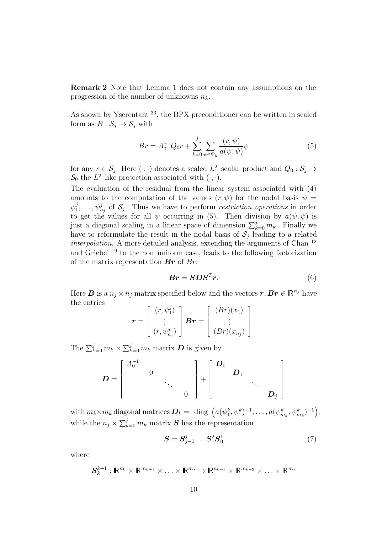**Remark 2** Note that Lemma 1 does not contain any assumptions on the progression of the number of unknowns  $n_k$ .

As shown by Yserentant <sup>33</sup>, the BPX preconditioner can be written in scaled form as  $B : S_j \to S_j$  with

$$
Br = A_0^{-1}Q_0r + \sum_{k=0}^{j} \sum_{\psi \in \Psi_k} \frac{(r, \psi)}{a(\psi, \psi)} \psi
$$
 (5)

for any  $r \in \mathcal{S}_j$ . Here  $(\cdot, \cdot)$  denotes a scaled  $L^2$ -scalar product and  $Q_0 : \mathcal{S}_j \to$  $\mathcal{S}_0$  the L<sup>2</sup>-like projection associated with  $(\cdot, \cdot)$ .

The evaluation of the residual from the linear system associated with (4) amounts to the computation of the values  $(r, \psi)$  for the nodal basis  $\psi =$  $\psi_1^j, \ldots, \psi_{n_j}^j$  of  $\mathcal{S}_j$ . Thus we have to perform *restriction operations* in order to get the values for all  $\psi$  occurring in (5). Then division by  $a(\psi, \psi)$  is just a diagonal scaling in a linear space of dimension  $\sum_{k=0}^{j} m_k$ . Finally we have to reformulate the result in the nodal basis of  $S_j$  leading to a related *interpolation*. A more detailed analysis, extending the arguments of Chan <sup>12</sup> and Griebel <sup>19</sup> to the non–uniform case, leads to the following factorization of the matrix representation *Br* of Br:

$$
\boldsymbol{Br} = \boldsymbol{SDS}^T \boldsymbol{r}.\tag{6}
$$

Here *B* is a  $n_j \times n_j$  matrix specified below and the vectors  $r, Br \in \mathbb{R}^{n_j}$  have the entries

$$
\boldsymbol{r} = \begin{bmatrix} (r, \psi_1^j) \\ \vdots \\ (r, \psi_{n_j}^j) \end{bmatrix} \boldsymbol{Br} = \begin{bmatrix} (Br)(x_1) \\ \vdots \\ (Br)(x_{n_j}) \end{bmatrix}.
$$

The  $\sum_{k=0}^{j} m_k \times \sum_{k=0}^{j} m_k$  matrix **D** is given by

$$
D = \begin{bmatrix} A_0^{-1} & & & \\ & 0 & & \\ & & \ddots & \\ & & & 0 \end{bmatrix} + \begin{bmatrix} D_0 & & & \\ & D_1 & & \\ & & \ddots & \\ & & & D_j \end{bmatrix}
$$

 $\text{with } m_k \times m_k \text{ diagonal matrices } \boldsymbol{D}_k = \text{ } \text{diag} \text{ }\Big( a(\psi_1^k,\psi_1^k)^{-1}, \ldots, a(\psi_{m_k}^k,\psi_{m_k}^k)^{-1} \Big),$ while the  $n_j \times \sum_{k=0}^j m_k$  matrix **S** has the representation

$$
\mathbf{S} = \mathbf{S}_{j-1}^j \dots \mathbf{S}_1^2 \mathbf{S}_0^1 \tag{7}
$$

where

$$
\mathbf{S}_{k}^{k+1}:\mathbb{R}^{n_{k}}\times\mathbb{R}^{m_{k+1}}\times\ldots\times\mathbb{R}^{m_{j}}\to\mathbb{R}^{n_{k+1}}\times\mathbb{R}^{m_{k+2}}\times\ldots\times\mathbb{R}^{m_{j}}
$$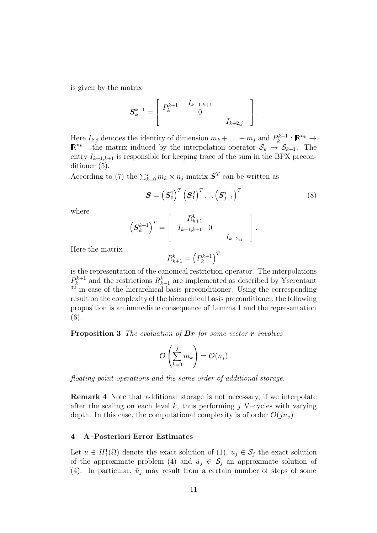is given by the matrix

$$
\mathbf{S}_{k}^{k+1} = \left[ \begin{array}{cc} P_{k}^{k+1} & I_{k+1,k+1} & \\ 0 & & I_{k+2,j} \end{array} \right].
$$

Here  $I_{k,j}$  denotes the identity of dimension  $m_k + \ldots + m_j$  and  $P_k^{k+1}$  :  $\mathbb{R}^{n_k} \to$  $\mathbb{R}^{n_{k+1}}$  the matrix induced by the interpolation operator  $\mathcal{S}_k \to \mathcal{S}_{k+1}$ . The entry  $I_{k+1,k+1}$  is responsible for keeping trace of the sum in the BPX preconditioner (5).

According to (7) the  $\sum_{k=0}^{j} m_k \times n_j$  matrix  $S<sup>T</sup>$  can be written as

$$
\mathbf{S} = \left(\mathbf{S}_0^1\right)^T \left(\mathbf{S}_1^2\right)^T \dots \left(\mathbf{S}_{j-1}^j\right)^T \tag{8}
$$

where

$$
\left(\mathbf{S}_{k}^{k+1}\right)^{T} = \left[\begin{array}{cc} R_{k+1}^{k} & 0 \\ I_{k+1,k+1} & 0 \end{array}\right].
$$

Here the matrix

$$
R_{k+1}^k = \left(P_k^{k+1}\right)^T
$$

is the representation of the canonical restriction operator. The interpolations  $P_k^{k+1}$  and the restrictions  $R_{k+1}^k$  are implemented as described by Yserentant  $32$ <sup> $32$ </sup> in case of the hierarchical basis preconditioner. Using the corresponding result on the complexity of the hierarchical basis preconditioner, the following proposition is an immediate consequence of Lemma 1 and the representation (6).

**Proposition 3** *The evaluation of Br for some vector r involves*

$$
\mathcal{O}\left(\sum_{k=0}^j m_k\right) = \mathcal{O}(n_j)
$$

*floating point operations and the same order of additional storage.*

**Remark 4** Note that additional storage is not necessary, if we interpolate after the scaling on each level k, thus performing  $j$  V–cycles with varying depth. In this case, the computational complexity is of order  $\mathcal{O}(jn_j)$ 

#### **4 A–Posteriori Error Estimates**

Let  $u \in H_0^1(\Omega)$  denote the exact solution of  $(1), u_j \in S_j$  the exact solution of the approximate problem (4) and  $\tilde{u}_i \in \mathcal{S}_i$  an approximate solution of (4). In particular,  $\tilde{u}_j$  may result from a certain number of steps of some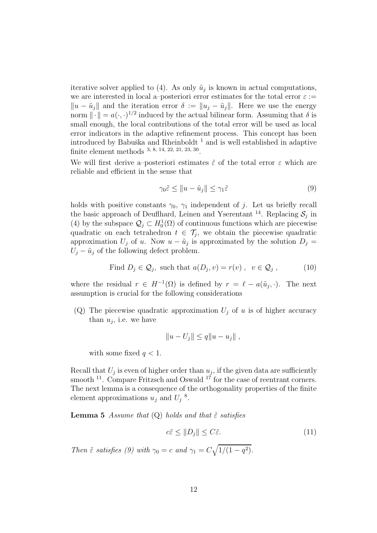iterative solver applied to (4). As only  $\tilde{u}_j$  is known in actual computations, we are interested in local a–posteriori error estimates for the total error  $\varepsilon :=$  $||u - \tilde{u}_j||$  and the iteration error  $\delta := ||u_j - \tilde{u}_j||$ . Here we use the energy norm  $\|\cdot\| = a(\cdot, \cdot)^{1/2}$  induced by the actual bilinear form. Assuming that  $\delta$  is small enough, the local contributions of the total error will be used as local error indicators in the adaptive refinement process. This concept has been introduced by Babuška and Rheinboldt<sup>1</sup> and is well established in adaptive finite element methods 3, 8, 14, 22, 21, 23, 30.

We will first derive a–posteriori estimates  $\tilde{\varepsilon}$  of the total error  $\varepsilon$  which are reliable and efficient in the sense that

$$
\gamma_0 \tilde{\varepsilon} \le \|u - \tilde{u}_j\| \le \gamma_1 \tilde{\varepsilon} \tag{9}
$$

holds with positive constants  $\gamma_0$ ,  $\gamma_1$  independent of j. Let us briefly recall the basic approach of Deuflhard, Leinen and Yserentant<sup>14</sup>. Replacing  $S_i$  in (4) by the subspace  $\mathcal{Q}_j \subset H_0^1(\Omega)$  of continuous functions which are piecewise quadratic on each tetrahedron  $t \in \mathcal{T}_i$ , we obtain the piecewise quadratic approximation  $U_j$  of u. Now  $u - \tilde{u}_j$  is approximated by the solution  $D_j =$  $U_j - \tilde{u}_j$  of the following defect problem.

Find 
$$
D_j \in \mathcal{Q}_j
$$
, such that  $a(D_j, v) = r(v)$ ,  $v \in \mathcal{Q}_j$ ,  $(10)$ 

where the residual  $r \in H^{-1}(\Omega)$  is defined by  $r = \ell - a(\tilde{u}_j, \cdot)$ . The next assumption is crucial for the following considerations

(Q) The piecewise quadratic approximation  $U_j$  of u is of higher accuracy than  $u_i$ , i.e. we have

$$
||u - U_j|| \le q||u - u_j||,
$$

with some fixed  $q < 1$ .

Recall that  $U_j$  is even of higher order than  $u_j$ , if the given data are sufficiently smooth  $^{11}$ . Compare Fritzsch and Oswald  $^{17}$  for the case of reentrant corners. The next lemma is a consequence of the orthogonality properties of the finite element approximations  $u_j$  and  $U_j$ <sup>8</sup>.

**Lemma 5** *Assume that* (Q) *holds and that*  $\tilde{\varepsilon}$  *satisfies* 

$$
c\tilde{\varepsilon} \le \|D_j\| \le C\tilde{\varepsilon}.\tag{11}
$$

*Then*  $\tilde{\varepsilon}$  *satisfies* (9) with  $\gamma_0 = c$  *and*  $\gamma_1 = C \sqrt{1/(1-q^2)}$ .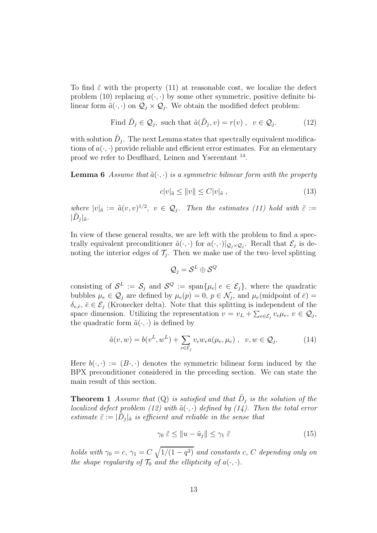To find  $\tilde{\varepsilon}$  with the property (11) at reasonable cost, we localize the defect problem (10) replacing  $a(\cdot, \cdot)$  by some other symmetric, positive definite bilinear form  $\tilde{a}(\cdot, \cdot)$  on  $\mathcal{Q}_i \times \mathcal{Q}_i$ . We obtain the modified defect problem:

Find 
$$
\tilde{D}_j \in \mathcal{Q}_j
$$
, such that  $\tilde{a}(\tilde{D}_j, v) = r(v)$ ,  $v \in \mathcal{Q}_j$ . (12)

with solution  $D_j$ . The next Lemma states that spectrally equivalent modifications of  $a(\cdot, \cdot)$  provide reliable and efficient error estimates. For an elementary proof we refer to Deuflhard, Leinen and Yserentant <sup>14</sup>.

**Lemma 6** *Assume that*  $\tilde{a}(\cdot, \cdot)$  *is a symmetric bilinear form with the property* 

$$
c|v|_{\tilde{a}} \le ||v|| \le C|v|_{\tilde{a}} , \qquad (13)
$$

*where*  $|v|_{\tilde{a}} := \tilde{a}(v, v)^{1/2}, v \in \mathcal{Q}_j$ *. Then the estimates (11) hold with*  $\tilde{\varepsilon} :=$  $|D_i|_{\tilde{a}}$ .

In view of these general results, we are left with the problem to find a spectrally equivalent preconditioner  $\tilde{a}(\cdot,\cdot)$  for  $a(\cdot,\cdot)|_{\mathcal{Q}_j\times\mathcal{Q}_j}$ . Recall that  $\mathcal{E}_j$  is denoting the interior edges of  $\mathcal{T}_i$ . Then we make use of the two–level splitting

$$
\mathcal{Q}_j = \mathcal{S}^L \oplus \mathcal{S}^Q
$$

consisting of  $\mathcal{S}^L := \mathcal{S}_i$  and  $\mathcal{S}^Q := \text{span}\{\mu_e | e \in \mathcal{E}_i\}$ , where the quadratic bubbles  $\mu_e \in \mathcal{Q}_j$  are defined by  $\mu_e(p) = 0$ ,  $p \in \mathcal{N}_j$ , and  $\mu_e$ (midpoint of  $\bar{e}$ ) =  $\delta_{e,\bar{e}}, \bar{e} \in \mathcal{E}_j$  (Kronecker delta). Note that this splitting is independent of the space dimension. Utilizing the representation  $v = v_L + \sum_{e \in \mathcal{E}_j} v_e \mu_e, v \in \mathcal{Q}_j$ , the quadratic form  $\tilde{a}(\cdot, \cdot)$  is defined by

$$
\tilde{a}(v, w) = b(v^L, w^L) + \sum_{e \in \mathcal{E}_j} v_e w_e a(\mu_e, \mu_e) , \quad v, w \in \mathcal{Q}_j.
$$
 (14)

Here  $b(\cdot, \cdot) := (B \cdot, \cdot)$  denotes the symmetric bilinear form induced by the BPX preconditioner considered in the preceding section. We can state the main result of this section.

**Theorem 1** *Assume that* (Q) *is satisfied and that*  $\tilde{D}_j$  *is the solution of the localized defect problem (12) with*  $\tilde{a}(\cdot, \cdot)$  *defined by (14). Then the total error estimate*  $\tilde{\varepsilon} := |D_j|_{\tilde{a}}$  *is efficient and reliable in the sense that* 

$$
\gamma_0 \tilde{\varepsilon} \le ||u - \tilde{u}_j|| \le \gamma_1 \tilde{\varepsilon} \tag{15}
$$

*holds with*  $\gamma_0 = c$ ,  $\gamma_1 = C \sqrt{1/(1 - q^2)}$  *and constants* c, C *depending only on the shape regularity of*  $\mathcal{T}_0$  *and the ellipticity of*  $a(\cdot, \cdot)$ *.*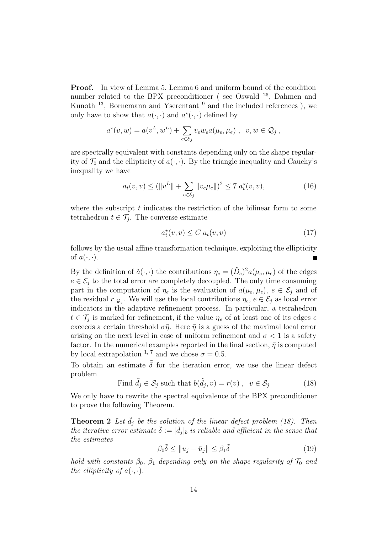**Proof.** In view of Lemma 5, Lemma 6 and uniform bound of the condition number related to the BPX preconditioner (see Oswald <sup>25</sup>, Dahmen and Kunoth  $^{13}$ , Bornemann and Yserentant  $^{9}$  and the included references), we only have to show that  $a(\cdot, \cdot)$  and  $a^*(\cdot, \cdot)$  defined by

$$
a^{\star}(v, w) = a(v^{L}, w^{L}) + \sum_{e \in \mathcal{E}_{j}} v_{e} w_{e} a(\mu_{e}, \mu_{e}), \quad v, w \in \mathcal{Q}_{j},
$$

are spectrally equivalent with constants depending only on the shape regularity of  $\mathcal{T}_0$  and the ellipticity of  $a(\cdot, \cdot)$ . By the triangle inequality and Cauchy's inequality we have

$$
a_t(v, v) \le (||v^L|| + \sum_{e \in \mathcal{E}_j} ||v_e \mu_e||)^2 \le 7 \ a_t^*(v, v), \tag{16}
$$

where the subscript  $t$  indicates the restriction of the bilinear form to some tetrahedron  $t \in \mathcal{T}_i$ . The converse estimate

$$
a_t^{\star}(v, v) \le C a_t(v, v) \tag{17}
$$

follows by the usual affine transformation technique, exploiting the ellipticity of  $a(\cdot, \cdot)$ . Ē

By the definition of  $\tilde{a}(\cdot,\cdot)$  the contributions  $\eta_e = (\tilde{D}_e)^2 a(\mu_e, \mu_e)$  of the edges  $e \in \mathcal{E}_i$  to the total error are completely decoupled. The only time consuming part in the computation of  $\eta_e$  is the evaluation of  $a(\mu_e, \mu_e)$ ,  $e \in \mathcal{E}_j$  and of the residual  $r|_{\mathcal{Q}_j}$ . We will use the local contributions  $\eta_e, e \in \mathcal{E}_j$  as local error indicators in the adaptive refinement process. In particular, a tetrahedron  $t \in \mathcal{T}_i$  is marked for refinement, if the value  $\eta_e$  of at least one of its edges e exceeds a certain threshold  $\sigma\bar{\eta}$ . Here  $\bar{\eta}$  is a guess of the maximal local error arising on the next level in case of uniform refinement and  $\sigma < 1$  is a safety factor. In the numerical examples reported in the final section,  $\bar{\eta}$  is computed by local extrapolation <sup>1, 7</sup> and we chose  $\sigma = 0.5$ .

To obtain an estimate  $\tilde{\delta}$  for the iteration error, we use the linear defect problem

Find 
$$
\tilde{d}_j \in \mathcal{S}_j
$$
 such that  $b(\tilde{d}_j, v) = r(v)$ ,  $v \in \mathcal{S}_j$  (18)

We only have to rewrite the spectral equivalence of the BPX preconditioner to prove the following Theorem.

**Theorem 2** Let  $\tilde{d}_j$  be the solution of the linear defect problem (18). Then *the iterative error estimate*  $\tilde{\delta} := |\tilde{d}_j|_b$  *is reliable and efficient in the sense that the estimates*

$$
\beta_0 \tilde{\delta} \le ||u_j - \tilde{u}_j|| \le \beta_1 \tilde{\delta}
$$
\n(19)

*hold with constants*  $\beta_0$ ,  $\beta_1$  *depending only on the shape regularity of*  $\mathcal{T}_0$  *and the ellipticity of*  $a(\cdot, \cdot)$ *.*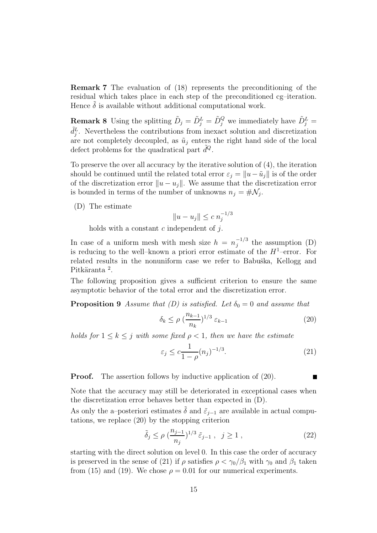**Remark 7** The evaluation of (18) represents the preconditioning of the residual which takes place in each step of the preconditioned cg–iteration. Hence  $\delta$  is available without additional computational work.

**Remark 8** Using the splitting  $\tilde{D}_j = \tilde{D}_j^L = \tilde{D}_j^Q$  we immediately have  $\tilde{D}_j^L$  =  $\tilde{d}_j^L$ . Nevertheless the contributions from inexact solution and discretization are not completely decoupled, as  $\tilde{u}_i$  enters the right hand side of the local defect problems for the quadratical part  $\tilde{d}^{Q}$ .

To preserve the over all accuracy by the iterative solution of (4), the iteration should be continued until the related total error  $\varepsilon_j = ||u - \tilde{u}_j||$  is of the order of the discretization error  $||u - u_i||$ . We assume that the discretization error is bounded in terms of the number of unknowns  $n_j = #\mathcal{N}_j$ .

(D) The estimate

$$
||u - u_j|| \le c \; n_j^{-1/3}
$$

holds with a constant  $c$  independent of  $i$ .

In case of a uniform mesh with mesh size  $h = n_j^{-1/3}$  the assumption (D) is reducing to the well–known a priori error estimate of the  $H^1$ –error. For related results in the nonuniform case we refer to Babuška, Kellogg and Pitkäranta<sup>2</sup>.

The following proposition gives a sufficient criterion to ensure the same asymptotic behavior of the total error and the discretization error.

**Proposition 9** *Assume that (D) is satisfied. Let*  $\delta_0 = 0$  *and assume that* 

$$
\delta_k \le \rho \left(\frac{n_{k-1}}{n_k}\right)^{1/3} \varepsilon_{k-1} \tag{20}
$$

*holds for*  $1 \leq k \leq j$  *with some fixed*  $\rho \leq 1$ *, then we have the estimate* 

$$
\varepsilon_j \le c \frac{1}{1 - \rho} (n_j)^{-1/3}.
$$
\n(21)

**Proof.** The assertion follows by inductive application of  $(20)$ .

Note that the accuracy may still be deteriorated in exceptional cases when the discretization error behaves better than expected in (D).

As only the a–posteriori estimates  $\delta$  and  $\tilde{\varepsilon}_{j-1}$  are available in actual computations, we replace  $(20)$  by the stopping criterion

$$
\tilde{\delta}_j \le \rho \left( \frac{n_{j-1}}{n_j} \right)^{1/3} \tilde{\varepsilon}_{j-1}, \ \ j \ge 1 ,
$$
\n(22)

starting with the direct solution on level 0. In this case the order of accuracy is preserved in the sense of (21) if  $\rho$  satisfies  $\rho < \gamma_0/\beta_1$  with  $\gamma_0$  and  $\beta_1$  taken from (15) and (19). We chose  $\rho = 0.01$  for our numerical experiments.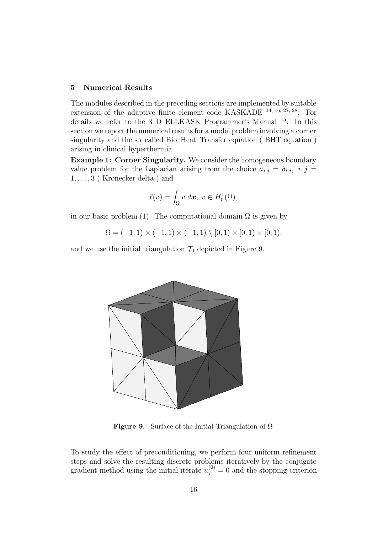### **5 Numerical Results**

The modules described in the preceding sections are implemented by suitable extension of the adaptive finite element code KASKADE 14, 16, 27, 28. For details we refer to the 3–D ELLKASK Programmer's Manual <sup>15</sup>. In this section we report the numerical results for a model problem involving a corner singularity and the so–called Bio–Heat–Transfer equation ( BHT equation ) arising in clinical hyperthermia.

**Example 1: Corner Singularity.** We consider the homogeneous boundary value problem for the Laplacian arising from the choice  $a_{i,j} = \delta_{i,j}, i, j =$  $1, \ldots, 3$  (Kronecker delta) and

$$
\ell(v) = \int_{\Omega} v \, d\mathbf{x}, \ v \in H_0^1(\Omega),
$$

in our basic problem (1). The computational domain  $\Omega$  is given by

 $\Omega = (-1, 1) \times (-1, 1) \times (-1, 1) \setminus [0, 1) \times [0, 1) \times [0, 1),$ 

and we use the initial triangulation  $\mathcal{T}_0$  depicted in Figure 9.



**Figure 9**. Surface of the Initial Triangulation of Ω

To study the effect of preconditioning, we perform four uniform refinement steps and solve the resulting discrete problems iteratively by the conjugate gradient method using the initial iterate  $u_j^{(0)} = 0$  and the stopping criterion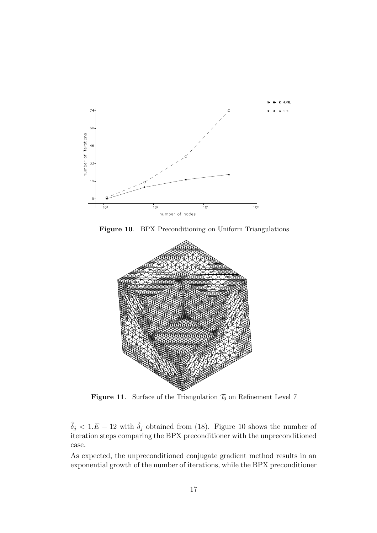

**Figure 10**. BPX Preconditioning on Uniform Triangulations



**Figure 11.** Surface of the Triangulation  $\mathcal{T}_6$  on Refinement Level 7

 $\tilde{\delta}_j < 1.E - 12$  with  $\tilde{\delta}_j$  obtained from (18). Figure 10 shows the number of iteration steps comparing the BPX preconditioner with the unpreconditioned case.

As expected, the unpreconditioned conjugate gradient method results in an exponential growth of the number of iterations, while the BPX preconditioner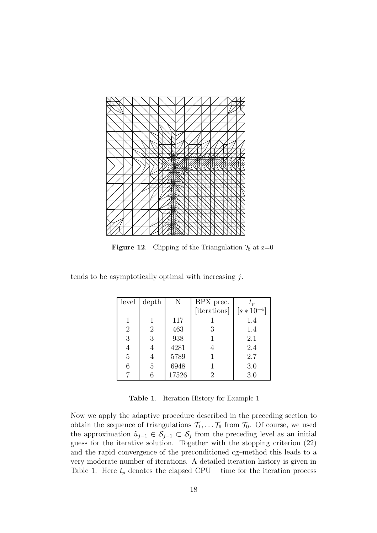

**Figure 12.** Clipping of the Triangulation  $\mathcal{T}_6$  at  $z=0$ 

|  | tends to be asymptotically optimal with increasing $j$ . |  |  |
|--|----------------------------------------------------------|--|--|
|  |                                                          |  |  |

| level          | depth | N     | BPX prec.    | $t_{p}$         |
|----------------|-------|-------|--------------|-----------------|
|                |       |       | [iterations] | $[s * 10^{-4}]$ |
|                |       | 117   |              | 1.4             |
| $\overline{2}$ | 2     | 463   | 3            | 1.4             |
| 3              | 3     | 938   |              | 2.1             |
| 4              |       | 4281  |              | 2.4             |
| $\overline{5}$ |       | 5789  |              | 2.7             |
| 6              | 5     | 6948  |              | 3.0             |
|                |       | 17526 | 2            | 3.0             |

**Table 1**. Iteration History for Example 1

Now we apply the adaptive procedure described in the preceding section to obtain the sequence of triangulations  $\mathcal{T}_1,\ldots\mathcal{T}_6$  from  $\mathcal{T}_0$ . Of course, we used the approximation  $\tilde{u}_{j-1} \in \mathcal{S}_{j-1} \subset \mathcal{S}_j$  from the preceding level as an initial guess for the iterative solution. Together with the stopping criterion (22) and the rapid convergence of the preconditioned cg–method this leads to a very moderate number of iterations. A detailed iteration history is given in Table 1. Here  $t_p$  denotes the elapsed CPU – time for the iteration process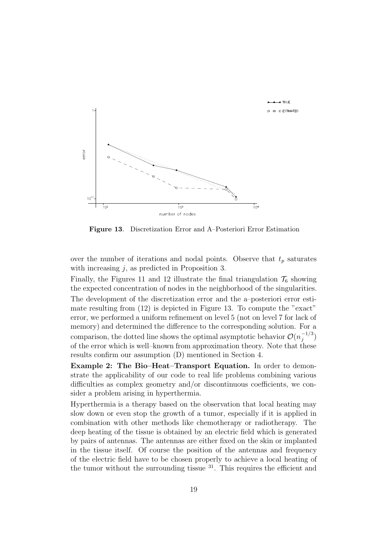

**Figure 13**. Discretization Error and A–Posteriori Error Estimation

over the number of iterations and nodal points. Observe that  $t_p$  saturates with increasing  $j$ , as predicted in Proposition 3.

Finally, the Figures 11 and 12 illustrate the final triangulation  $\mathcal{T}_6$  showing the expected concentration of nodes in the neighborhood of the singularities.

The development of the discretization error and the a–posteriori error estimate resulting from (12) is depicted in Figure 13. To compute the "exact" error, we performed a uniform refinement on level 5 (not on level 7 for lack of memory) and determined the difference to the corresponding solution. For a comparison, the dotted line shows the optimal asymptotic behavior  $\mathcal{O}(n_j^{-1/3})$ of the error which is well–known from approximation theory. Note that these results confirm our assumption (D) mentioned in Section 4.

**Example 2: The Bio–Heat–Transport Equation.** In order to demonstrate the applicability of our code to real life problems combining various difficulties as complex geometry and/or discontinuous coefficients, we consider a problem arising in hyperthermia.

Hyperthermia is a therapy based on the observation that local heating may slow down or even stop the growth of a tumor, especially if it is applied in combination with other methods like chemotherapy or radiotherapy. The deep heating of the tissue is obtained by an electric field which is generated by pairs of antennas. The antennas are either fixed on the skin or implanted in the tissue itself. Of course the position of the antennas and frequency of the electric field have to be chosen properly to achieve a local heating of the tumor without the surrounding tissue  $31$ . This requires the efficient and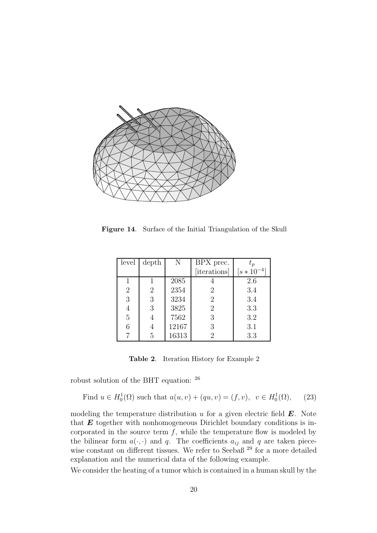

**Figure 14**. Surface of the Initial Triangulation of the Skull

| level          | depth | N     | BPX prec.      | $t_{p}$         |
|----------------|-------|-------|----------------|-----------------|
|                |       |       | [iterations]   | $[s * 10^{-4}]$ |
|                |       | 2085  |                | 2.6             |
| $\overline{2}$ | 2     | 2354  | $\overline{2}$ | 3.4             |
| 3              | 3     | 3234  | $\overline{2}$ | 3.4             |
| 4              | 3     | 3825  | $\overline{2}$ | 3.3             |
| 5              |       | 7562  | 3              | 3.2             |
| 6              |       | 12167 | 3              | 3.1             |
|                | 5     | 16313 | 2              | 3.3             |

**Table 2**. Iteration History for Example 2

robust solution of the BHT equation: <sup>26</sup>

Find 
$$
u \in H_0^1(\Omega)
$$
 such that  $a(u, v) + (qu, v) = (f, v), v \in H_0^1(\Omega)$ , (23)

modeling the temperature distribution u for a given electric field *E*. Note that *E* together with nonhomogeneous Dirichlet boundary conditions is incorporated in the source term  $f$ , while the temperature flow is modeled by the bilinear form  $a(\cdot, \cdot)$  and q. The coefficients  $a_{ij}$  and q are taken piecewise constant on different tissues. We refer to Seebaß<sup>29</sup> for a more detailed explanation and the numerical data of the following example.

We consider the heating of a tumor which is contained in a human skull by the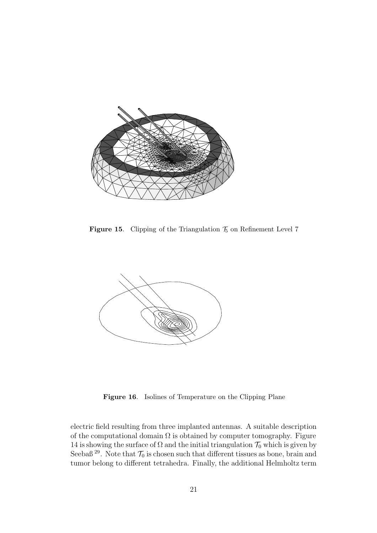

**Figure 15.** Clipping of the Triangulation  $\mathcal{T}_5$  on Refinement Level 7



**Figure 16**. Isolines of Temperature on the Clipping Plane

electric field resulting from three implanted antennas. A suitable description of the computational domain  $\Omega$  is obtained by computer tomography. Figure 14 is showing the surface of  $\Omega$  and the initial triangulation  $\mathcal{T}_0$  which is given by Seebaß  $^{29}$ . Note that  $\mathcal{T}_0$  is chosen such that different tissues as bone, brain and tumor belong to different tetrahedra. Finally, the additional Helmholtz term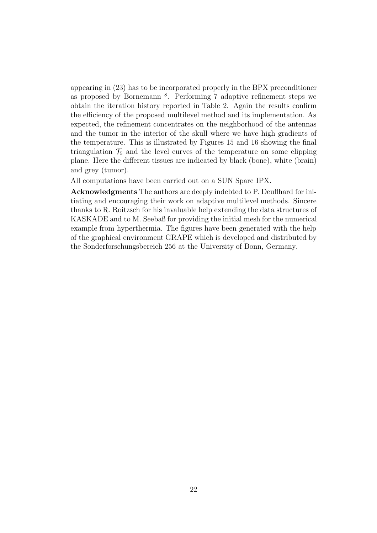appearing in (23) has to be incorporated properly in the BPX preconditioner as proposed by Bornemann <sup>8</sup>. Performing 7 adaptive refinement steps we obtain the iteration history reported in Table 2. Again the results confirm the efficiency of the proposed multilevel method and its implementation. As expected, the refinement concentrates on the neighborhood of the antennas and the tumor in the interior of the skull where we have high gradients of the temperature. This is illustrated by Figures 15 and 16 showing the final triangulation  $\mathcal{T}_5$  and the level curves of the temperature on some clipping plane. Here the different tissues are indicated by black (bone), white (brain) and grey (tumor).

All computations have been carried out on a SUN Sparc IPX.

**Acknowledgments** The authors are deeply indebted to P. Deuflhard for initiating and encouraging their work on adaptive multilevel methods. Sincere thanks to R. Roitzsch for his invaluable help extending the data structures of KASKADE and to M. Seebaß for providing the initial mesh for the numerical example from hyperthermia. The figures have been generated with the help of the graphical environment GRAPE which is developed and distributed by the Sonderforschungsbereich 256 at the University of Bonn, Germany.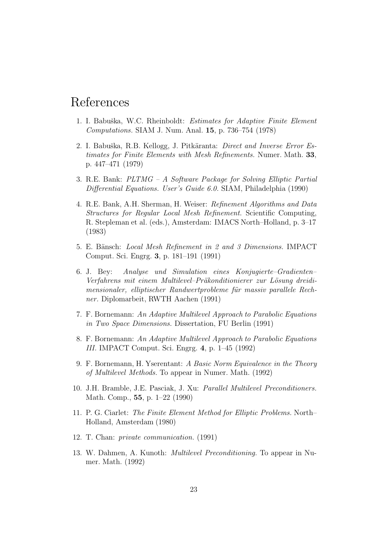# References

- 1. I. Babuška, W.C. Rheinboldt: *Estimates for Adaptive Finite Element Computations.* SIAM J. Num. Anal. **15**, p. 736–754 (1978)
- 2. I. Babuška, R.B. Kellogg, J. Pitkäranta: *Direct and Inverse Error Estimates for Finite Elements with Mesh Refinements.* Numer. Math. **33**, p. 447–471 (1979)
- 3. R.E. Bank: *PLTMG A Software Package for Solving Elliptic Partial Differential Equations. User's Guide 6.0.* SIAM, Philadelphia (1990)
- 4. R.E. Bank, A.H. Sherman, H. Weiser: *Refinement Algorithms and Data Structures for Regular Local Mesh Refinement.* Scientific Computing, R. Stepleman et al. (eds.), Amsterdam: IMACS North–Holland, p. 3–17 (1983)
- 5. E. Bänsch: *Local Mesh Refinement in 2 and 3 Dimensions.* IMPACT Comput. Sci. Engrg. **3**, p. 181–191 (1991)
- 6. J. Bey: *Analyse und Simulation eines Konjugierte–Gradienten–* Verfahrens mit einem Multilevel-Präkonditionierer zur Lösung dreidimensionaler, elliptischer Randwertprobleme für massiv parallele Rech*ner.* Diplomarbeit, RWTH Aachen (1991)
- 7. F. Bornemann: *An Adaptive Multilevel Approach to Parabolic Equations in Two Space Dimensions.* Dissertation, FU Berlin (1991)
- 8. F. Bornemann: *An Adaptive Multilevel Approach to Parabolic Equations III.* IMPACT Comput. Sci. Engrg. **4**, p. 1–45 (1992)
- 9. F. Bornemann, H. Yserentant: *A Basic Norm Equivalence in the Theory of Multilevel Methods.* To appear in Numer. Math. (1992)
- 10. J.H. Bramble, J.E. Pasciak, J. Xu: *Parallel Multilevel Preconditioners.* Math. Comp., **55**, p. 1–22 (1990)
- 11. P. G. Ciarlet: *The Finite Element Method for Elliptic Problems.* North– Holland, Amsterdam (1980)
- 12. T. Chan: *private communication.* (1991)
- 13. W. Dahmen, A. Kunoth: *Multilevel Preconditioning.* To appear in Numer. Math. (1992)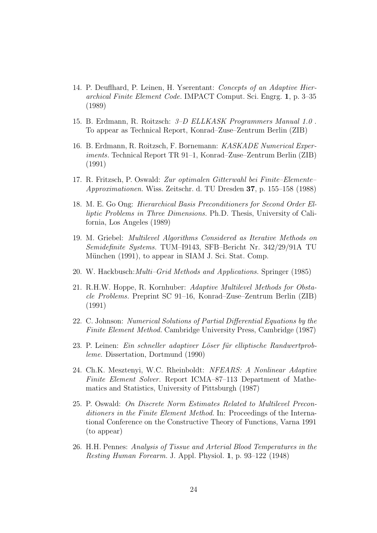- 14. P. Deuflhard, P. Leinen, H. Yserentant: *Concepts of an Adaptive Hierarchical Finite Element Code.* IMPACT Comput. Sci. Engrg. **1**, p. 3–35 (1989)
- 15. B. Erdmann, R. Roitzsch: *3–D ELLKASK Programmers Manual 1.0* . To appear as Technical Report, Konrad–Zuse–Zentrum Berlin (ZIB)
- 16. B. Erdmann, R. Roitzsch, F. Bornemann: *KASKADE Numerical Experiments.* Technical Report TR 91–1, Konrad–Zuse–Zentrum Berlin (ZIB) (1991)
- 17. R. Fritzsch, P. Oswald: *Zur optimalen Gitterwahl bei Finite–Elemente– Approximationen.* Wiss. Zeitschr. d. TU Dresden **37**, p. 155–158 (1988)
- 18. M. E. Go Ong: *Hierarchical Basis Preconditioners for Second Order Elliptic Problems in Three Dimensions.* Ph.D. Thesis, University of California, Los Angeles (1989)
- 19. M. Griebel: *Multilevel Algorithms Considered as Iterative Methods on Semidefinite Systems.* TUM–I9143, SFB–Bericht Nr. 342/29/91A TU München (1991), to appear in SIAM J. Sci. Stat. Comp.
- 20. W. Hackbusch:*Multi–Grid Methods and Applications.* Springer (1985)
- 21. R.H.W. Hoppe, R. Kornhuber: *Adaptive Multilevel Methods for Obstacle Problems.* Preprint SC 91–16, Konrad–Zuse–Zentrum Berlin (ZIB) (1991)
- 22. C. Johnson: *Numerical Solutions of Partial Differential Equations by the Finite Element Method.* Cambridge University Press, Cambridge (1987)
- 23. P. Leinen: *Ein schneller adaptiver L¨oser f¨ur elliptische Randwertprobleme.* Dissertation, Dortmund (1990)
- 24. Ch.K. Mesztenyi, W.C. Rheinboldt: *NFEARS: A Nonlinear Adaptive Finite Element Solver.* Report ICMA–87–113 Department of Mathematics and Statistics, University of Pittsburgh (1987)
- 25. P. Oswald: *On Discrete Norm Estimates Related to Multilevel Preconditioners in the Finite Element Method.* In: Proceedings of the International Conference on the Constructive Theory of Functions, Varna 1991 (to appear)
- 26. H.H. Pennes: *Analysis of Tissue and Arterial Blood Temperatures in the Resting Human Forearm.* J. Appl. Physiol. **1**, p. 93–122 (1948)